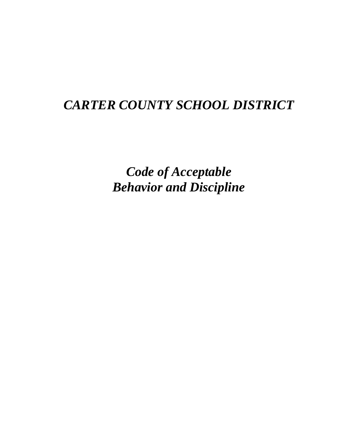# *CARTER COUNTY SCHOOL DISTRICT*

*Code of Acceptable Behavior and Discipline*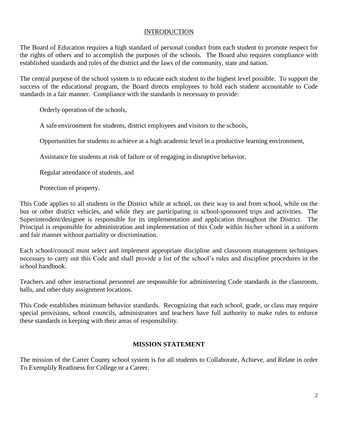## **INTRODUCTION**

The Board of Education requires a high standard of personal conduct from each student to promote respect for the rights of others and to accomplish the purposes of the schools. The Board also requires compliance with established standards and rules of the district and the laws of the community, state and nation.

The central purpose of the school system is to educate each student to the highest level possible. To support the success of the educational program, the Board directs employees to hold each student accountable to Code standards in a fair manner. Compliance with the standards is necessary to provide:

Orderly operation of the schools,

A safe environment for students, district employees and visitors to the schools,

Opportunities for students to achieve at a high academic level in a productive learning environment,

Assistance for students at risk of failure or of engaging in disruptive behavior,

Regular attendance of students, and

Protection of property.

This Code applies to all students in the District while at school, on their way to and from school, while on the bus or other district vehicles, and while they are participating in school-sponsored trips and activities. The Superintendent/designee is responsible for its implementation and application throughout the District. The Principal is responsible for administration and implementation of this Code within his/her school in a uniform and fair manner without partiality or discrimination.

Each school/council must select and implement appropriate discipline and classroom management techniques necessary to carry out this Code and shall provide a list of the school's rules and discipline procedures in the school handbook.

Teachers and other instructional personnel are responsible for administering Code standards in the classroom, halls, and other duty assignment locations.

This Code establishes minimum behavior standards. Recognizing that each school, grade, or class may require special provisions, school councils, administrators and teachers have full authority to make rules to enforce these standards in keeping with their areas of responsibility.

## **MISSION STATEMENT**

The mission of the Carter County school system is for all students to Collaborate, Achieve, and Relate in order To Exemplify Readiness for College or a Career.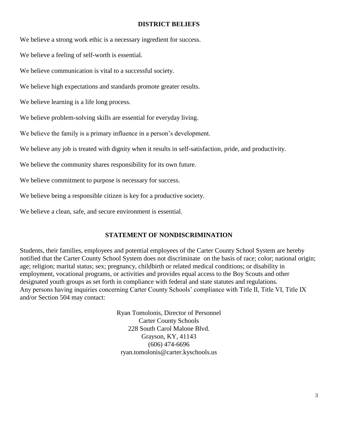#### **DISTRICT BELIEFS**

We believe a strong work ethic is a necessary ingredient for success.

We believe a feeling of self-worth is essential.

We believe communication is vital to a successful society.

We believe high expectations and standards promote greater results.

We believe learning is a life long process.

We believe problem-solving skills are essential for everyday living.

We believe the family is a primary influence in a person's development.

We believe any job is treated with dignity when it results in self-satisfaction, pride, and productivity.

We believe the community shares responsibility for its own future.

We believe commitment to purpose is necessary for success.

We believe being a responsible citizen is key for a productive society.

We believe a clean, safe, and secure environment is essential.

## **STATEMENT OF NONDISCRIMINATION**

Students, their families, employees and potential employees of the Carter County School System are hereby notified that the Carter County School System does not discriminate on the basis of race; color; national origin; age; religion; marital status; sex; pregnancy, childbirth or related medical conditions; or disability in employment, vocational programs, or activities and provides equal access to the Boy Scouts and other designated youth groups as set forth in compliance with federal and state statutes and regulations. Any persons having inquiries concerning Carter County Schools' compliance with Title II, Title VI, Title IX and/or Section 504 may contact:

> Ryan Tomolonis, Director of Personnel Carter County Schools 228 South Carol Malone Blvd. Grayson, KY, 41143 (606) 474-6696 ryan.tomolonis@carter.kyschools.us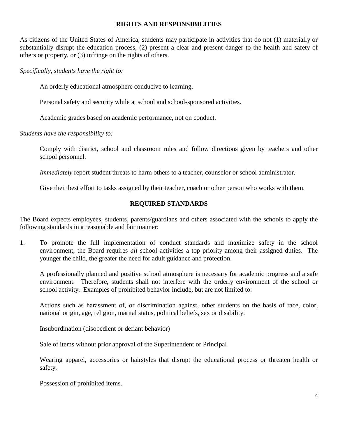#### **RIGHTS AND RESPONSIBILITIES**

As citizens of the United States of America, students may participate in activities that do not (1) materially or substantially disrupt the education process, (2) present a clear and present danger to the health and safety of others or property, or (3) infringe on the rights of others.

*Specifically, students have the right to:*

An orderly educational atmosphere conducive to learning.

Personal safety and security while at school and school-sponsored activities.

Academic grades based on academic performance, not on conduct.

*Students have the responsibility to:*

Comply with district, school and classroom rules and follow directions given by teachers and other school personnel.

*Immediately* report student threats to harm others to a teacher, counselor or school administrator.

Give their best effort to tasks assigned by their teacher, coach or other person who works with them.

## **REQUIRED STANDARDS**

The Board expects employees, students, parents/guardians and others associated with the schools to apply the following standards in a reasonable and fair manner:

1. To promote the full implementation of conduct standards and maximize safety in the school environment, the Board requires *all* school activities a top priority among their assigned duties. The younger the child, the greater the need for adult guidance and protection.

A professionally planned and positive school atmosphere is necessary for academic progress and a safe environment. Therefore, students shall not interfere with the orderly environment of the school or school activity. Examples of prohibited behavior include, but are not limited to:

Actions such as harassment of, or discrimination against, other students on the basis of race, color, national origin, age, religion, marital status, political beliefs, sex or disability.

Insubordination (disobedient or defiant behavior)

Sale of items without prior approval of the Superintendent or Principal

Wearing apparel, accessories or hairstyles that disrupt the educational process or threaten health or safety.

Possession of prohibited items.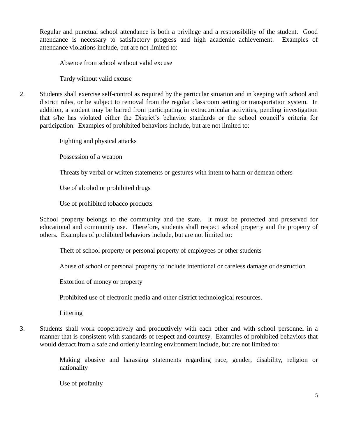Regular and punctual school attendance is both a privilege and a responsibility of the student. Good attendance is necessary to satisfactory progress and high academic achievement. Examples of attendance violations include, but are not limited to:

Absence from school without valid excuse

Tardy without valid excuse

2. Students shall exercise self-control as required by the particular situation and in keeping with school and district rules, or be subject to removal from the regular classroom setting or transportation system. In addition, a student may be barred from participating in extracurricular activities, pending investigation that s/he has violated either the District's behavior standards or the school council's criteria for participation. Examples of prohibited behaviors include, but are not limited to:

Fighting and physical attacks

Possession of a weapon

Threats by verbal or written statements or gestures with intent to harm or demean others

Use of alcohol or prohibited drugs

Use of prohibited tobacco products

School property belongs to the community and the state. It must be protected and preserved for educational and community use. Therefore, students shall respect school property and the property of others. Examples of prohibited behaviors include, but are not limited to:

Theft of school property or personal property of employees or other students

Abuse of school or personal property to include intentional or careless damage or destruction

Extortion of money or property

Prohibited use of electronic media and other district technological resources.

Littering

3. Students shall work cooperatively and productively with each other and with school personnel in a manner that is consistent with standards of respect and courtesy. Examples of prohibited behaviors that would detract from a safe and orderly learning environment include, but are not limited to:

> Making abusive and harassing statements regarding race, gender, disability, religion or nationality

Use of profanity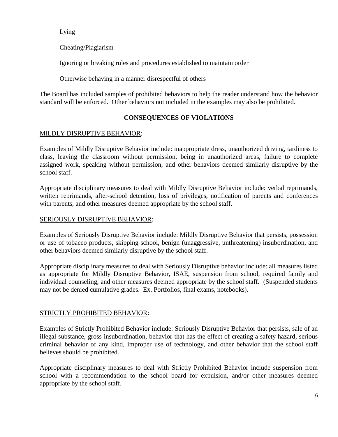Lying

Cheating/Plagiarism

Ignoring or breaking rules and procedures established to maintain order

Otherwise behaving in a manner disrespectful of others

The Board has included samples of prohibited behaviors to help the reader understand how the behavior standard will be enforced. Other behaviors not included in the examples may also be prohibited.

# **CONSEQUENCES OF VIOLATIONS**

# MILDLY DISRUPTIVE BEHAVIOR:

Examples of Mildly Disruptive Behavior include: inappropriate dress, unauthorized driving, tardiness to class, leaving the classroom without permission, being in unauthorized areas, failure to complete assigned work, speaking without permission, and other behaviors deemed similarly disruptive by the school staff.

Appropriate disciplinary measures to deal with Mildly Disruptive Behavior include: verbal reprimands, written reprimands, after-school detention, loss of privileges, notification of parents and conferences with parents, and other measures deemed appropriate by the school staff.

## SERIOUSLY DISRUPTIVE BEHAVIOR:

Examples of Seriously Disruptive Behavior include: Mildly Disruptive Behavior that persists, possession or use of tobacco products, skipping school, benign (unaggressive, unthreatening) insubordination, and other behaviors deemed similarly disruptive by the school staff.

Appropriate disciplinary measures to deal with Seriously Disruptive behavior include: all measures listed as appropriate for Mildly Disruptive Behavior, ISAE, suspension from school, required family and individual counseling, and other measures deemed appropriate by the school staff. (Suspended students may not be denied cumulative grades. Ex. Portfolios, final exams, notebooks).

## STRICTLY PROHIBITED BEHAVIOR:

Examples of Strictly Prohibited Behavior include: Seriously Disruptive Behavior that persists, sale of an illegal substance, gross insubordination, behavior that has the effect of creating a safety hazard, serious criminal behavior of any kind, improper use of technology, and other behavior that the school staff believes should be prohibited.

Appropriate disciplinary measures to deal with Strictly Prohibited Behavior include suspension from school with a recommendation to the school board for expulsion, and/or other measures deemed appropriate by the school staff.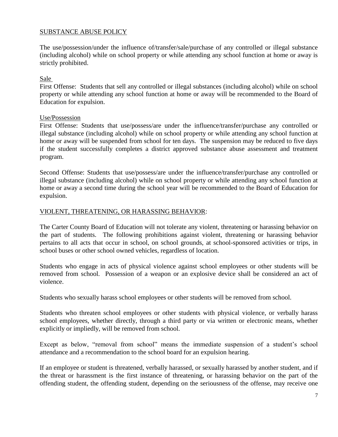## SUBSTANCE ABUSE POLICY

The use/possession/under the influence of/transfer/sale/purchase of any controlled or illegal substance (including alcohol) while on school property or while attending any school function at home or away is strictly prohibited.

#### Sale

First Offense: Students that sell any controlled or illegal substances (including alcohol) while on school property or while attending any school function at home or away will be recommended to the Board of Education for expulsion.

#### Use/Possession

First Offense: Students that use/possess/are under the influence/transfer/purchase any controlled or illegal substance (including alcohol) while on school property or while attending any school function at home or away will be suspended from school for ten days. The suspension may be reduced to five days if the student successfully completes a district approved substance abuse assessment and treatment program.

Second Offense: Students that use/possess/are under the influence/transfer/purchase any controlled or illegal substance (including alcohol) while on school property or while attending any school function at home or away a second time during the school year will be recommended to the Board of Education for expulsion.

#### VIOLENT, THREATENING, OR HARASSING BEHAVIOR:

The Carter County Board of Education will not tolerate any violent, threatening or harassing behavior on the part of students. The following prohibitions against violent, threatening or harassing behavior pertains to all acts that occur in school, on school grounds, at school-sponsored activities or trips, in school buses or other school owned vehicles, regardless of location.

Students who engage in acts of physical violence against school employees or other students will be removed from school. Possession of a weapon or an explosive device shall be considered an act of violence.

Students who sexually harass school employees or other students will be removed from school.

Students who threaten school employees or other students with physical violence, or verbally harass school employees, whether directly, through a third party or via written or electronic means, whether explicitly or impliedly, will be removed from school.

Except as below, "removal from school" means the immediate suspension of a student's school attendance and a recommendation to the school board for an expulsion hearing.

If an employee or student is threatened, verbally harassed, or sexually harassed by another student, and if the threat or harassment is the first instance of threatening, or harassing behavior on the part of the offending student, the offending student, depending on the seriousness of the offense, may receive one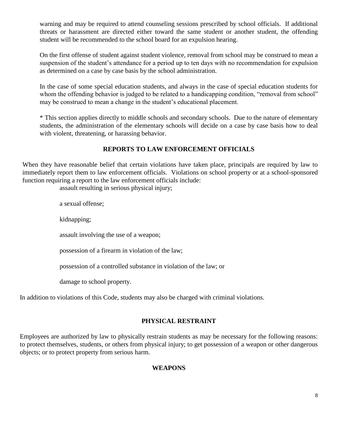warning and may be required to attend counseling sessions prescribed by school officials. If additional threats or harassment are directed either toward the same student or another student, the offending student will be recommended to the school board for an expulsion hearing.

On the first offense of student against student violence, removal from school may be construed to mean a suspension of the student's attendance for a period up to ten days with no recommendation for expulsion as determined on a case by case basis by the school administration.

In the case of some special education students, and always in the case of special education students for whom the offending behavior is judged to be related to a handicapping condition, "removal from school" may be construed to mean a change in the student's educational placement.

\* This section applies directly to middle schools and secondary schools. Due to the nature of elementary students, the administration of the elementary schools will decide on a case by case basis how to deal with violent, threatening, or harassing behavior.

# **REPORTS TO LAW ENFORCEMENT OFFICIALS**

When they have reasonable belief that certain violations have taken place, principals are required by law to immediately report them to law enforcement officials. Violations on school property or at a school-sponsored function requiring a report to the law enforcement officials include:

assault resulting in serious physical injury;

a sexual offense;

kidnapping;

assault involving the use of a weapon;

possession of a firearm in violation of the law;

possession of a controlled substance in violation of the law; or

damage to school property.

In addition to violations of this Code, students may also be charged with criminal violations.

## **PHYSICAL RESTRAINT**

Employees are authorized by law to physically restrain students as may be necessary for the following reasons: to protect themselves, students, or others from physical injury; to get possession of a weapon or other dangerous objects; or to protect property from serious harm.

## **WEAPONS**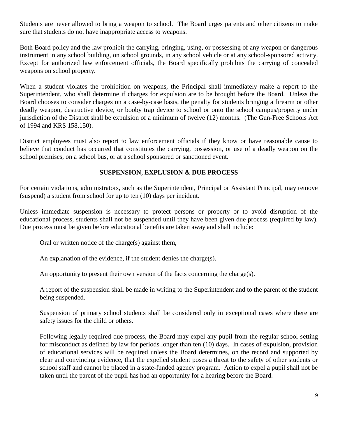Students are never allowed to bring a weapon to school. The Board urges parents and other citizens to make sure that students do not have inappropriate access to weapons.

Both Board policy and the law prohibit the carrying, bringing, using, or possessing of any weapon or dangerous instrument in any school building, on school grounds, in any school vehicle or at any school-sponsored activity. Except for authorized law enforcement officials, the Board specifically prohibits the carrying of concealed weapons on school property.

When a student violates the prohibition on weapons, the Principal shall immediately make a report to the Superintendent, who shall determine if charges for expulsion are to be brought before the Board. Unless the Board chooses to consider charges on a case-by-case basis, the penalty for students bringing a firearm or other deadly weapon, destructive device, or booby trap device to school or onto the school campus/property under jurisdiction of the District shall be expulsion of a minimum of twelve (12) months. (The Gun-Free Schools Act of 1994 and KRS 158.150).

District employees must also report to law enforcement officials if they know or have reasonable cause to believe that conduct has occurred that constitutes the carrying, possession, or use of a deadly weapon on the school premises, on a school bus, or at a school sponsored or sanctioned event.

#### **SUSPENSION, EXPLUSION & DUE PROCESS**

For certain violations, administrators, such as the Superintendent, Principal or Assistant Principal, may remove (suspend) a student from school for up to ten (10) days per incident.

Unless immediate suspension is necessary to protect persons or property or to avoid disruption of the educational process, students shall not be suspended until they have been given due process (required by law). Due process must be given before educational benefits are taken away and shall include:

Oral or written notice of the charge(s) against them,

An explanation of the evidence, if the student denies the charge(s).

An opportunity to present their own version of the facts concerning the charge(s).

A report of the suspension shall be made in writing to the Superintendent and to the parent of the student being suspended.

Suspension of primary school students shall be considered only in exceptional cases where there are safety issues for the child or others.

Following legally required due process, the Board may expel any pupil from the regular school setting for misconduct as defined by law for periods longer than ten (10) days. In cases of expulsion, provision of educational services will be required unless the Board determines, on the record and supported by clear and convincing evidence, that the expelled student poses a threat to the safety of other students or school staff and cannot be placed in a state-funded agency program. Action to expel a pupil shall not be taken until the parent of the pupil has had an opportunity for a hearing before the Board.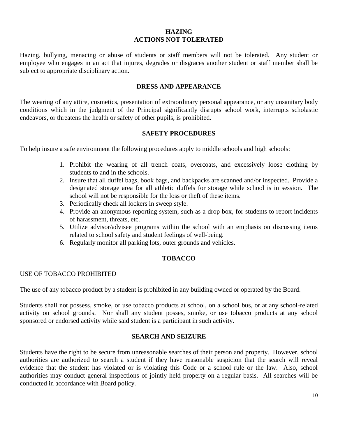#### **HAZING ACTIONS NOT TOLERATED**

Hazing, bullying, menacing or abuse of students or staff members will not be tolerated. Any student or employee who engages in an act that injures, degrades or disgraces another student or staff member shall be subject to appropriate disciplinary action.

#### **DRESS AND APPEARANCE**

The wearing of any attire, cosmetics, presentation of extraordinary personal appearance, or any unsanitary body conditions which in the judgment of the Principal significantly disrupts school work, interrupts scholastic endeavors, or threatens the health or safety of other pupils, is prohibited.

#### **SAFETY PROCEDURES**

To help insure a safe environment the following procedures apply to middle schools and high schools:

- 1. Prohibit the wearing of all trench coats, overcoats, and excessively loose clothing by students to and in the schools.
- 2. Insure that all duffel bags, book bags, and backpacks are scanned and/or inspected. Provide a designated storage area for all athletic duffels for storage while school is in session. The school will not be responsible for the loss or theft of these items.
- 3. Periodically check all lockers in sweep style.
- 4. Provide an anonymous reporting system, such as a drop box, for students to report incidents of harassment, threats, etc.
- 5. Utilize advisor/advisee programs within the school with an emphasis on discussing items related to school safety and student feelings of well-being.
- 6. Regularly monitor all parking lots, outer grounds and vehicles.

## **TOBACCO**

#### USE OF TOBACCO PROHIBITED

The use of any tobacco product by a student is prohibited in any building owned or operated by the Board.

Students shall not possess, smoke, or use tobacco products at school, on a school bus, or at any school-related activity on school grounds. Nor shall any student posses, smoke, or use tobacco products at any school sponsored or endorsed activity while said student is a participant in such activity.

#### **SEARCH AND SEIZURE**

Students have the right to be secure from unreasonable searches of their person and property. However, school authorities are authorized to search a student if they have reasonable suspicion that the search will reveal evidence that the student has violated or is violating this Code or a school rule or the law. Also, school authorities may conduct general inspections of jointly held property on a regular basis. All searches will be conducted in accordance with Board policy.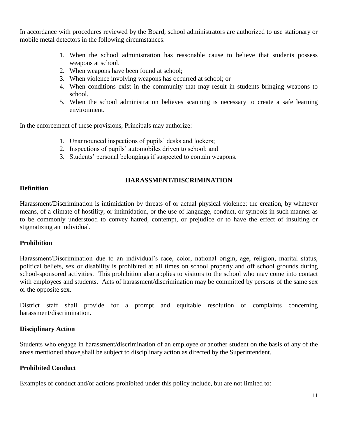In accordance with procedures reviewed by the Board, school administrators are authorized to use stationary or mobile metal detectors in the following circumstances:

- 1. When the school administration has reasonable cause to believe that students possess weapons at school.
- 2. When weapons have been found at school;
- 3. When violence involving weapons has occurred at school; or
- 4. When conditions exist in the community that may result in students bringing weapons to school.
- 5. When the school administration believes scanning is necessary to create a safe learning environment.

In the enforcement of these provisions, Principals may authorize:

- 1. Unannounced inspections of pupils' desks and lockers;
- 2. Inspections of pupils' automobiles driven to school; and
- 3. Students' personal belongings if suspected to contain weapons.

#### **HARASSMENT/DISCRIMINATION**

#### **Definition**

Harassment/Discrimination is intimidation by threats of or actual physical violence; the creation, by whatever means, of a climate of hostility, or intimidation, or the use of language, conduct, or symbols in such manner as to be commonly understood to convey hatred, contempt, or prejudice or to have the effect of insulting or stigmatizing an individual.

#### **Prohibition**

Harassment/Discrimination due to an individual's race, color, national origin, age, religion, marital status, political beliefs, sex or disability is prohibited at all times on school property and off school grounds during school-sponsored activities. This prohibition also applies to visitors to the school who may come into contact with employees and students. Acts of harassment/discrimination may be committed by persons of the same sex or the opposite sex.

District staff shall provide for a prompt and equitable resolution of complaints concerning harassment/discrimination.

#### **Disciplinary Action**

Students who engage in harassment/discrimination of an employee or another student on the basis of any of the areas mentioned above shall be subject to disciplinary action as directed by the Superintendent.

#### **Prohibited Conduct**

Examples of conduct and/or actions prohibited under this policy include, but are not limited to: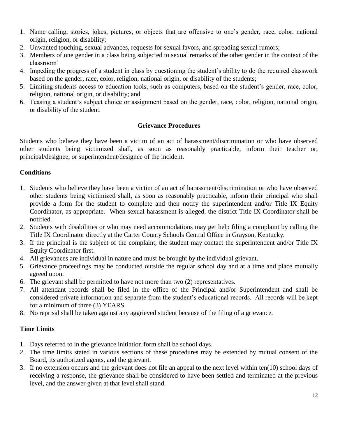- 1. Name calling, stories, jokes, pictures, or objects that are offensive to one's gender, race, color, national origin, religion, or disability;
- 2. Unwanted touching, sexual advances, requests for sexual favors, and spreading sexual rumors;
- 3. Members of one gender in a class being subjected to sexual remarks of the other gender in the context of the classroom'
- 4. Impeding the progress of a student in class by questioning the student's ability to do the required classwork based on the gender, race, color, religion, national origin, or disability of the students;
- 5. Limiting students access to education tools, such as computers, based on the student's gender, race, color, religion, national origin, or disability; and
- 6. Teasing a student's subject choice or assignment based on the gender, race, color, religion, national origin, or disability of the student.

# **Grievance Procedures**

Students who believe they have been a victim of an act of harassment/discrimination or who have observed other students being victimized shall, as soon as reasonably practicable, inform their teacher or, principal/designee, or superintendent/designee of the incident.

# **Conditions**

- 1. Students who believe they have been a victim of an act of harassment/discrimination or who have observed other students being victimized shall, as soon as reasonably practicable, inform their principal who shall provide a form for the student to complete and then notify the superintendent and/or Title IX Equity Coordinator, as appropriate. When sexual harassment is alleged, the district Title IX Coordinator shall be notified.
- 2. Students with disabilities or who may need accommodations may get help filing a complaint by calling the Title IX Coordinator directly at the Carter County Schools Central Office in Grayson, Kentucky.
- 3. If the principal is the subject of the complaint, the student may contact the superintendent and/or Title IX Equity Coordinator first.
- 4. All grievances are individual in nature and must be brought by the individual grievant.
- 5. Grievance proceedings may be conducted outside the regular school day and at a time and place mutually agreed upon.
- 6. The grievant shall be permitted to have not more than two (2) representatives.
- 7. All attendant records shall be filed in the office of the Principal and/or Superintendent and shall be considered private information and separate from the student's educational records. All records will be kept for a minimum of three (3) YEARS.
- 8. No reprisal shall be taken against any aggrieved student because of the filing of a grievance.

# **Time Limits**

- 1. Days referred to in the grievance initiation form shall be school days.
- 2. The time limits stated in various sections of these procedures may be extended by mutual consent of the Board, its authorized agents, and the grievant.
- 3. If no extension occurs and the grievant does not file an appeal to the next level within ten(10) school days of receiving a response, the grievance shall be considered to have been settled and terminated at the previous level, and the answer given at that level shall stand.